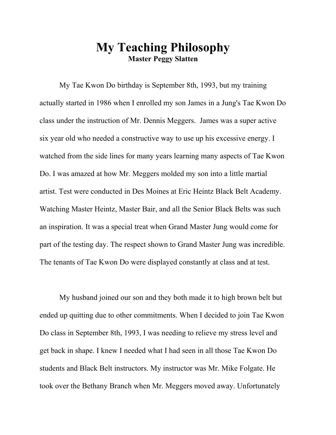## **My Teaching Philosophy Master Peggy Slatten**

My Tae Kwon Do birthday is September 8th, 1993, but my training actually started in 1986 when I enrolled my son James in a Jung's Tae Kwon Do class under the instruction of Mr. Dennis Meggers. James was a super active six year old who needed a constructive way to use up his excessive energy. I watched from the side lines for many years learning many aspects of Tae Kwon Do. I was amazed at how Mr. Meggers molded my son into a little martial artist. Test were conducted in Des Moines at Eric Heintz Black Belt Academy. Watching Master Heintz, Master Bair, and all the Senior Black Belts was such an inspiration. It was a special treat when Grand Master Jung would come for part of the testing day. The respect shown to Grand Master Jung was incredible. The tenants of Tae Kwon Do were displayed constantly at class and at test.

My husband joined our son and they both made it to high brown belt but ended up quitting due to other commitments. When I decided to join Tae Kwon Do class in September 8th, 1993, I was needing to relieve my stress level and get back in shape. I knew I needed what I had seen in all those Tae Kwon Do students and Black Belt instructors. My instructor was Mr. Mike Folgate. He took over the Bethany Branch when Mr. Meggers moved away. Unfortunately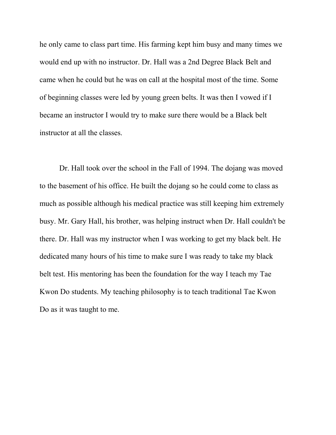he only came to class part time. His farming kept him busy and many times we would end up with no instructor. Dr. Hall was a 2nd Degree Black Belt and came when he could but he was on call at the hospital most of the time. Some of beginning classes were led by young green belts. It was then I vowed if I became an instructor I would try to make sure there would be a Black belt instructor at all the classes.

Dr. Hall took over the school in the Fall of 1994. The dojang was moved to the basement of his office. He built the dojang so he could come to class as much as possible although his medical practice was still keeping him extremely busy. Mr. Gary Hall, his brother, was helping instruct when Dr. Hall couldn't be there. Dr. Hall was my instructor when I was working to get my black belt. He dedicated many hours of his time to make sure I was ready to take my black belt test. His mentoring has been the foundation for the way I teach my Tae Kwon Do students. My teaching philosophy is to teach traditional Tae Kwon Do as it was taught to me.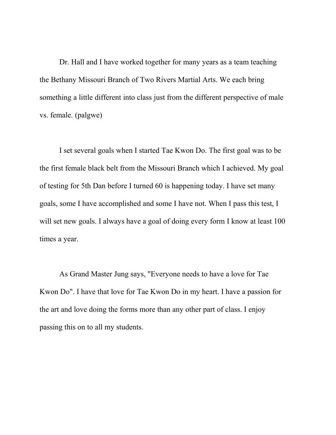Dr. Hall and I have worked together for many years as a team teaching the Bethany Missouri Branch of Two Rivers Martial Arts. We each bring something a little different into class just from the different perspective of male vs. female. (palgwe)

I set several goals when I started Tae Kwon Do. The first goal was to be the first female black belt from the Missouri Branch which I achieved. My goal of testing for 5th Dan before I turned 60 is happening today. I have set many goals, some I have accomplished and some I have not. When I pass this test, I will set new goals. I always have a goal of doing every form I know at least 100 times a year.

As Grand Master Jung says, "Everyone needs to have a love for Tae Kwon Do". I have that love for Tae Kwon Do in my heart. I have a passion for the art and love doing the forms more than any other part of class. I enjoy passing this on to all my students.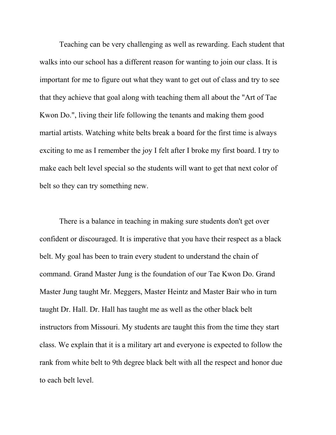Teaching can be very challenging as well as rewarding. Each student that walks into our school has a different reason for wanting to join our class. It is important for me to figure out what they want to get out of class and try to see that they achieve that goal along with teaching them all about the "Art of Tae Kwon Do.", living their life following the tenants and making them good martial artists. Watching white belts break a board for the first time is always exciting to me as I remember the joy I felt after I broke my first board. I try to make each belt level special so the students will want to get that next color of belt so they can try something new.

There is a balance in teaching in making sure students don't get over confident or discouraged. It is imperative that you have their respect as a black belt. My goal has been to train every student to understand the chain of command. Grand Master Jung is the foundation of our Tae Kwon Do. Grand Master Jung taught Mr. Meggers, Master Heintz and Master Bair who in turn taught Dr. Hall. Dr. Hall has taught me as well as the other black belt instructors from Missouri. My students are taught this from the time they start class. We explain that it is a military art and everyone is expected to follow the rank from white belt to 9th degree black belt with all the respect and honor due to each belt level.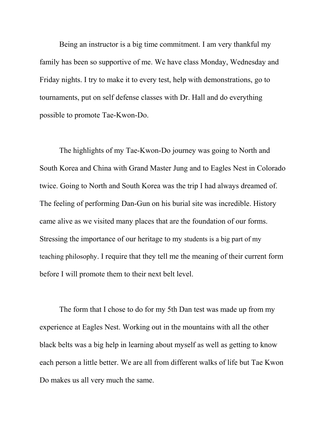Being an instructor is a big time commitment. I am very thankful my family has been so supportive of me. We have class Monday, Wednesday and Friday nights. I try to make it to every test, help with demonstrations, go to tournaments, put on self defense classes with Dr. Hall and do everything possible to promote Tae-Kwon-Do.

The highlights of my Tae-Kwon-Do journey was going to North and South Korea and China with Grand Master Jung and to Eagles Nest in Colorado twice. Going to North and South Korea was the trip I had always dreamed of. The feeling of performing Dan-Gun on his burial site was incredible. History came alive as we visited many places that are the foundation of our forms. Stressing the importance of our heritage to my students is a big part of my teaching philosophy. I require that they tell me the meaning of their current form before I will promote them to their next belt level.

The form that I chose to do for my 5th Dan test was made up from my experience at Eagles Nest. Working out in the mountains with all the other black belts was a big help in learning about myself as well as getting to know each person a little better. We are all from different walks of life but Tae Kwon Do makes us all very much the same.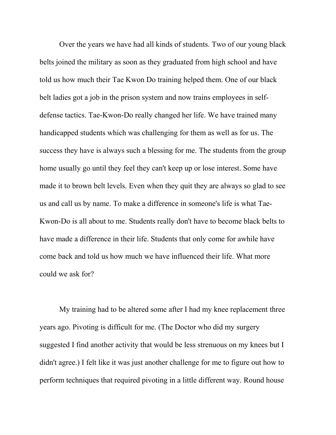Over the years we have had all kinds of students. Two of our young black belts joined the military as soon as they graduated from high school and have told us how much their Tae Kwon Do training helped them. One of our black belt ladies got a job in the prison system and now trains employees in selfdefense tactics. Tae-Kwon-Do really changed her life. We have trained many handicapped students which was challenging for them as well as for us. The success they have is always such a blessing for me. The students from the group home usually go until they feel they can't keep up or lose interest. Some have made it to brown belt levels. Even when they quit they are always so glad to see us and call us by name. To make a difference in someone's life is what Tae-Kwon-Do is all about to me. Students really don't have to become black belts to have made a difference in their life. Students that only come for awhile have come back and told us how much we have influenced their life. What more could we ask for?

My training had to be altered some after I had my knee replacement three years ago. Pivoting is difficult for me. (The Doctor who did my surgery suggested I find another activity that would be less strenuous on my knees but I didn't agree.) I felt like it was just another challenge for me to figure out how to perform techniques that required pivoting in a little different way. Round house